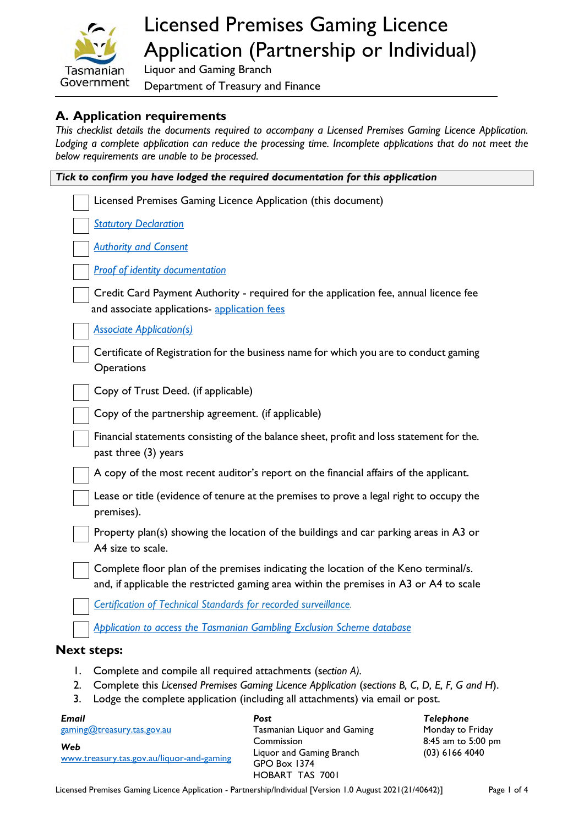

# Licensed Premises Gaming Licence Application (Partnership or Individual)

Liquor and Gaming Branch Department of Treasury and Finance

#### **A. Application requirements**

*This checklist details the documents required to accompany a Licensed Premises Gaming Licence Application. Lodging a complete application can reduce the processing time. Incomplete applications that do not meet the below requirements are unable to be processed.*

| Tick to confirm you have lodged the required documentation for this application |                                                                                                                                                                                                                                              |  |
|---------------------------------------------------------------------------------|----------------------------------------------------------------------------------------------------------------------------------------------------------------------------------------------------------------------------------------------|--|
|                                                                                 | Licensed Premises Gaming Licence Application (this document)                                                                                                                                                                                 |  |
|                                                                                 | <b>Statutory Declaration</b>                                                                                                                                                                                                                 |  |
|                                                                                 | <b>Authority and Consent</b>                                                                                                                                                                                                                 |  |
|                                                                                 | <b>Proof of identity documentation</b>                                                                                                                                                                                                       |  |
|                                                                                 | Credit Card Payment Authority - required for the application fee, annual licence fee<br>and associate applications- application fees                                                                                                         |  |
|                                                                                 | <b>Associate Application(s)</b>                                                                                                                                                                                                              |  |
|                                                                                 | Certificate of Registration for the business name for which you are to conduct gaming<br>Operations                                                                                                                                          |  |
|                                                                                 | Copy of Trust Deed. (if applicable)                                                                                                                                                                                                          |  |
|                                                                                 | Copy of the partnership agreement. (if applicable)                                                                                                                                                                                           |  |
|                                                                                 | Financial statements consisting of the balance sheet, profit and loss statement for the.<br>past three (3) years                                                                                                                             |  |
|                                                                                 | A copy of the most recent auditor's report on the financial affairs of the applicant.                                                                                                                                                        |  |
|                                                                                 | Lease or title (evidence of tenure at the premises to prove a legal right to occupy the<br>premises).                                                                                                                                        |  |
|                                                                                 | Property plan(s) showing the location of the buildings and car parking areas in A3 or<br>A4 size to scale.                                                                                                                                   |  |
|                                                                                 | Complete floor plan of the premises indicating the location of the Keno terminal/s.<br>and, if applicable the restricted gaming area within the premises in A3 or A4 to scale                                                                |  |
|                                                                                 | Certification of Technical Standards for recorded surveillance.                                                                                                                                                                              |  |
|                                                                                 | Application to access the Tasmanian Gambling Exclusion Scheme database                                                                                                                                                                       |  |
|                                                                                 | <b>Next steps:</b>                                                                                                                                                                                                                           |  |
| Ι.<br>2.<br>3.                                                                  | Complete and compile all required attachments (section A).<br>Complete this Licensed Premises Gaming Licence Application (sections B, C, D, E, F, G and H).<br>Lodge the complete application (including all attachments) via email or post. |  |

| Email                                            | Post                                                                                    | Telephone                              |
|--------------------------------------------------|-----------------------------------------------------------------------------------------|----------------------------------------|
| gaming@treasury.tas.gov.au                       | Tasmanian Liquor and Gaming                                                             | Monday to Friday                       |
| Web<br>www.treasury.tas.gov.au/liquor-and-gaming | Commission<br>Liquor and Gaming Branch<br><b>GPO Box 1374</b><br><b>HOBART TAS 7001</b> | 8:45 am to 5:00 pm<br>$(03)$ 6166 4040 |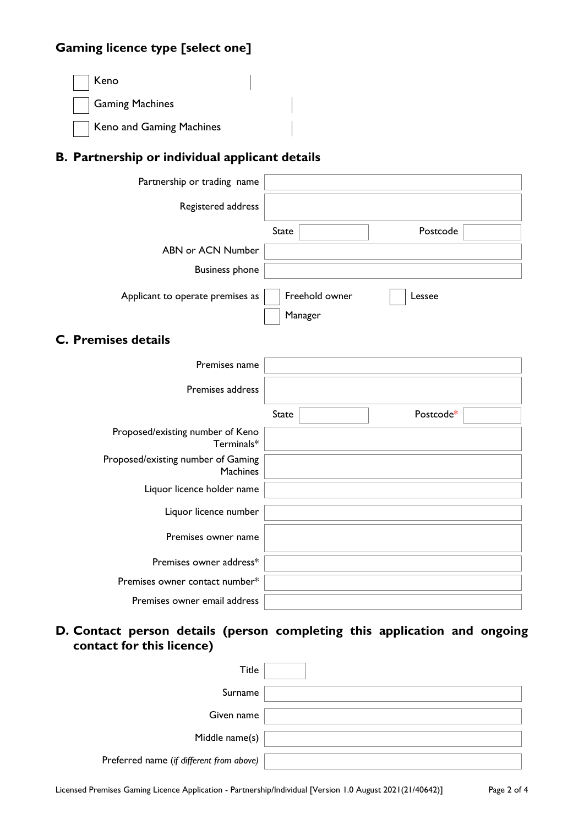## **Gaming licence type [select one]**

| $\vert$   Keno           |  |
|--------------------------|--|
| Gaming Machines          |  |
| Keno and Gaming Machines |  |

# **B. Partnership or individual applicant details**

| Partnership or trading name                           |                           |
|-------------------------------------------------------|---------------------------|
| Registered address                                    |                           |
|                                                       | <b>State</b><br>Postcode  |
| <b>ABN or ACN Number</b>                              |                           |
| <b>Business phone</b>                                 |                           |
| Applicant to operate premises as                      | Freehold owner<br>Lessee  |
|                                                       | Manager                   |
| <b>C. Premises details</b>                            |                           |
| Premises name                                         |                           |
| Premises address                                      |                           |
|                                                       | Postcode*<br><b>State</b> |
| Proposed/existing number of Keno<br>Terminals*        |                           |
| Proposed/existing number of Gaming<br><b>Machines</b> |                           |
| Liquor licence holder name                            |                           |
| Liquor licence number                                 |                           |
| Premises owner name                                   |                           |
| Premises owner address*                               |                           |
| Premises owner contact number*                        |                           |
| Premises owner email address                          |                           |

### **D. Contact person details (person completing this application and ongoing contact for this licence)**

| Title                                    |  |
|------------------------------------------|--|
| Surname                                  |  |
| Given name                               |  |
| Middle name(s)                           |  |
| Preferred name (if different from above) |  |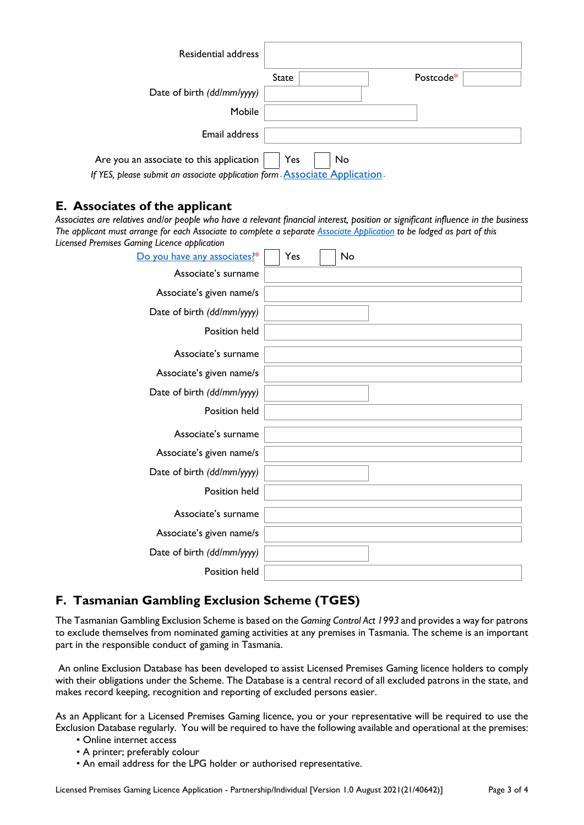| Residential address                                                              |              |    |           |
|----------------------------------------------------------------------------------|--------------|----|-----------|
|                                                                                  | <b>State</b> |    | Postcode* |
| Date of birth (dd/mm/yyyy)                                                       |              |    |           |
| Mobile                                                                           |              |    |           |
| Email address                                                                    |              |    |           |
| Are you an associate to this application                                         | Yes          | No |           |
| If YES, please submit an associate application form <b>Associate Application</b> |              |    |           |

#### **E. Associates of the applicant**

*Associates are relatives and/or people who have a relevant financial interest, position or significant influence in the business The applicant must arrange for each Associate to complete a separate [Associate Application](https://www.treasury.tas.gov.au/Documents/Associate%20Application.pdf) to be lodged as part of this Licensed Premises Gaming Licence application*

| Do you have any associates?* | Yes<br>No |
|------------------------------|-----------|
| Associate's surname          |           |
| Associate's given name/s     |           |
| Date of birth (dd/mm/yyyy)   |           |
| Position held                |           |
| Associate's surname          |           |
| Associate's given name/s     |           |
| Date of birth (dd/mm/yyyy)   |           |
| Position held                |           |
| Associate's surname          |           |
| Associate's given name/s     |           |
| Date of birth (dd/mm/yyyy)   |           |
| Position held                |           |
| Associate's surname          |           |
| Associate's given name/s     |           |
| Date of birth (dd/mm/yyyy)   |           |
| Position held                |           |

### **F. Tasmanian Gambling Exclusion Scheme (TGES)**

The Tasmanian Gambling Exclusion Scheme is based on the *Gaming Control Act 1993* and provides a way for patrons to exclude themselves from nominated gaming activities at any premises in Tasmania. The scheme is an important part in the responsible conduct of gaming in Tasmania.

 An online Exclusion Database has been developed to assist Licensed Premises Gaming licence holders to comply with their obligations under the Scheme. The Database is a central record of all excluded patrons in the state, and makes record keeping, recognition and reporting of excluded persons easier.

As an Applicant for a Licensed Premises Gaming licence, you or your representative will be required to use the Exclusion Database regularly. You will be required to have the following available and operational at the premises:

- Online internet access
- A printer; preferably colour
- An email address for the LPG holder or authorised representative.